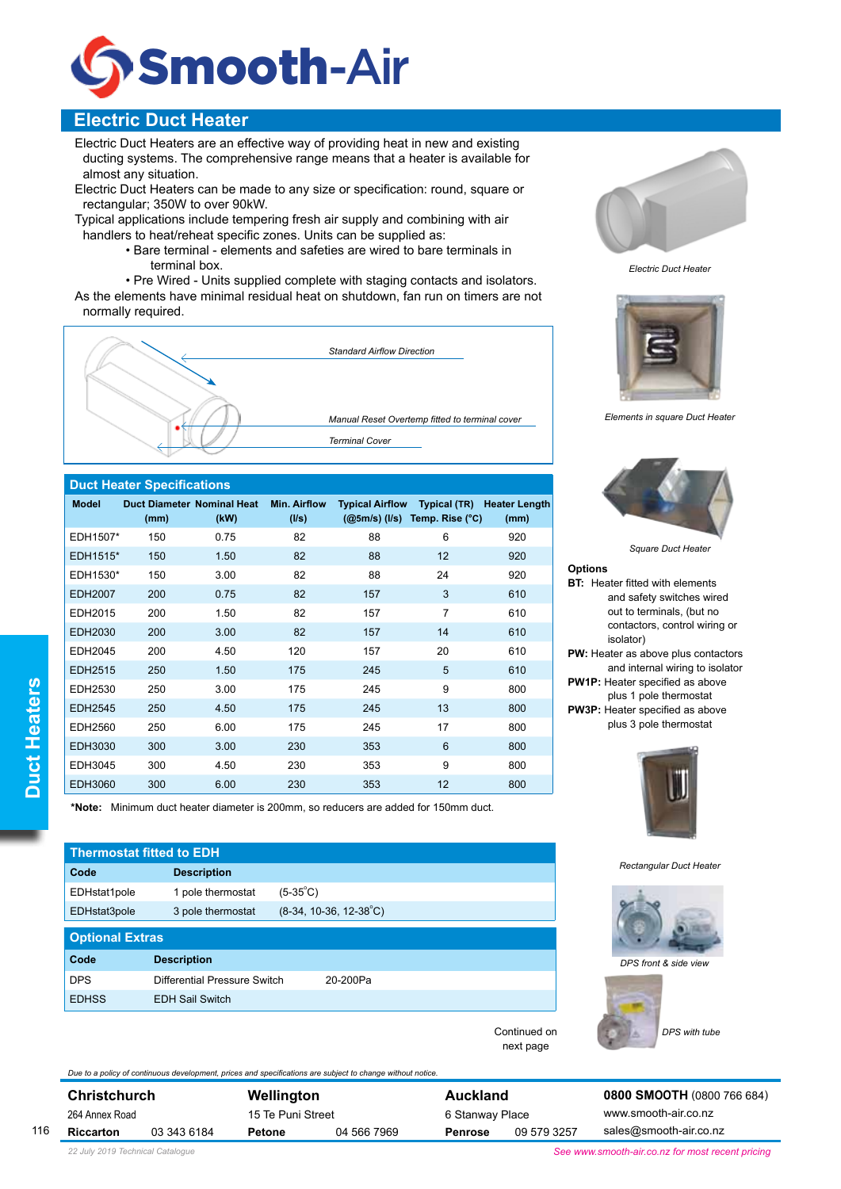

# **Electric Duct Heater**

Electric Duct Heaters are an effective way of providing heat in new and existing ducting systems. The comprehensive range means that a heater is available for almost any situation.

Electric Duct Heaters can be made to any size or specification: round, square or rectangular; 350W to over 90kW.

Typical applications include tempering fresh air supply and combining with air handlers to heat/reheat specific zones. Units can be supplied as:

> • Bare terminal - elements and safeties are wired to bare terminals in terminal box.

 • Pre Wired - Units supplied complete with staging contacts and isolators.

As the elements have minimal residual heat on shutdown, fan run on timers are not normally required.



### **Duct Heater Specifications**

| <b>Model</b>   | <b>Duct Diameter Nominal Heat</b><br>(mm) | (kW) | <b>Min. Airflow</b><br>(1/s) | <b>Typical Airflow</b><br>$(Q5m/s)$ (I/s) | <b>Typical (TR)</b><br>Temp. Rise (°C) | <b>Heater Length</b><br>(mm) |
|----------------|-------------------------------------------|------|------------------------------|-------------------------------------------|----------------------------------------|------------------------------|
| EDH1507*       | 150                                       | 0.75 | 82                           | 88                                        | 6                                      | 920                          |
| EDH1515*       | 150                                       | 1.50 | 82                           | 88                                        | 12                                     | 920                          |
| EDH1530*       | 150                                       | 3.00 | 82                           | 88                                        | 24                                     | 920                          |
| <b>EDH2007</b> | 200                                       | 0.75 | 82                           | 157                                       | 3                                      | 610                          |
| EDH2015        | 200                                       | 1.50 | 82                           | 157                                       | 7                                      | 610                          |
| EDH2030        | 200                                       | 3.00 | 82                           | 157                                       | 14                                     | 610                          |
| EDH2045        | 200                                       | 4.50 | 120                          | 157                                       | 20                                     | 610                          |
| EDH2515        | 250                                       | 1.50 | 175                          | 245                                       | 5                                      | 610                          |
| EDH2530        | 250                                       | 3.00 | 175                          | 245                                       | 9                                      | 800                          |
| <b>EDH2545</b> | 250                                       | 4.50 | 175                          | 245                                       | 13                                     | 800                          |
| EDH2560        | 250                                       | 6.00 | 175                          | 245                                       | 17                                     | 800                          |
| <b>EDH3030</b> | 300                                       | 3.00 | 230                          | 353                                       | 6                                      | 800                          |
| EDH3045        | 300                                       | 4.50 | 230                          | 353                                       | 9                                      | 800                          |
| <b>EDH3060</b> | 300                                       | 6.00 | 230                          | 353                                       | 12                                     | 800                          |

**\*Note:** Minimum duct heater diameter is 200mm, so reducers are added for 150mm duct.

*Due to a policy of continuous development, prices and specifications are subject to change without notice.* 

| <b>Thermostat fitted to EDH</b> |                              |                                 |  |  |  |  |  |
|---------------------------------|------------------------------|---------------------------------|--|--|--|--|--|
| Code                            | <b>Description</b>           |                                 |  |  |  |  |  |
| EDHstat1pole                    | 1 pole thermostat            | $(5-35^{\circ}C)$               |  |  |  |  |  |
| EDHstat3pole                    | 3 pole thermostat            | $(8-34, 10-36, 12-38^{\circ}C)$ |  |  |  |  |  |
| <b>Optional Extras</b>          |                              |                                 |  |  |  |  |  |
| Code                            | <b>Description</b>           |                                 |  |  |  |  |  |
| <b>DPS</b>                      | Differential Pressure Switch | 20-200Pa                        |  |  |  |  |  |
|                                 |                              |                                 |  |  |  |  |  |



*Electric Duct Heater*



*Elements in square Duct Heater*



*Square Duct Heater*

#### **Options**

**BT:** Heater fitted with elements and safety switches wired out to terminals, (but no contactors, control wiring or isolator) **PW:** Heater as above plus contactors and internal wiring to isolator **PW1P:** Heater specified as above plus 1 pole thermostat **PW3P:** Heater specified as above plus 3 pole thermostat



*Rectangular Duct Heater*



*DPS front & side view*



116

### **Riccarton** 03 343 6184

**Christchurch** 264 Annex Road

**Wellington** 15 Te Puni Street **Petone** 04 566 7969 **Auckland** 6 Stanway Place **Penrose** 09 579 3257

Continued on next page

> **0800 SMOOTH** (0800 766 684) www.smooth-air.co.nz sales@smooth-air.co.nz

*22 July 2019 Technical Catalogue See www.smooth-air.co.nz for most recent pricing*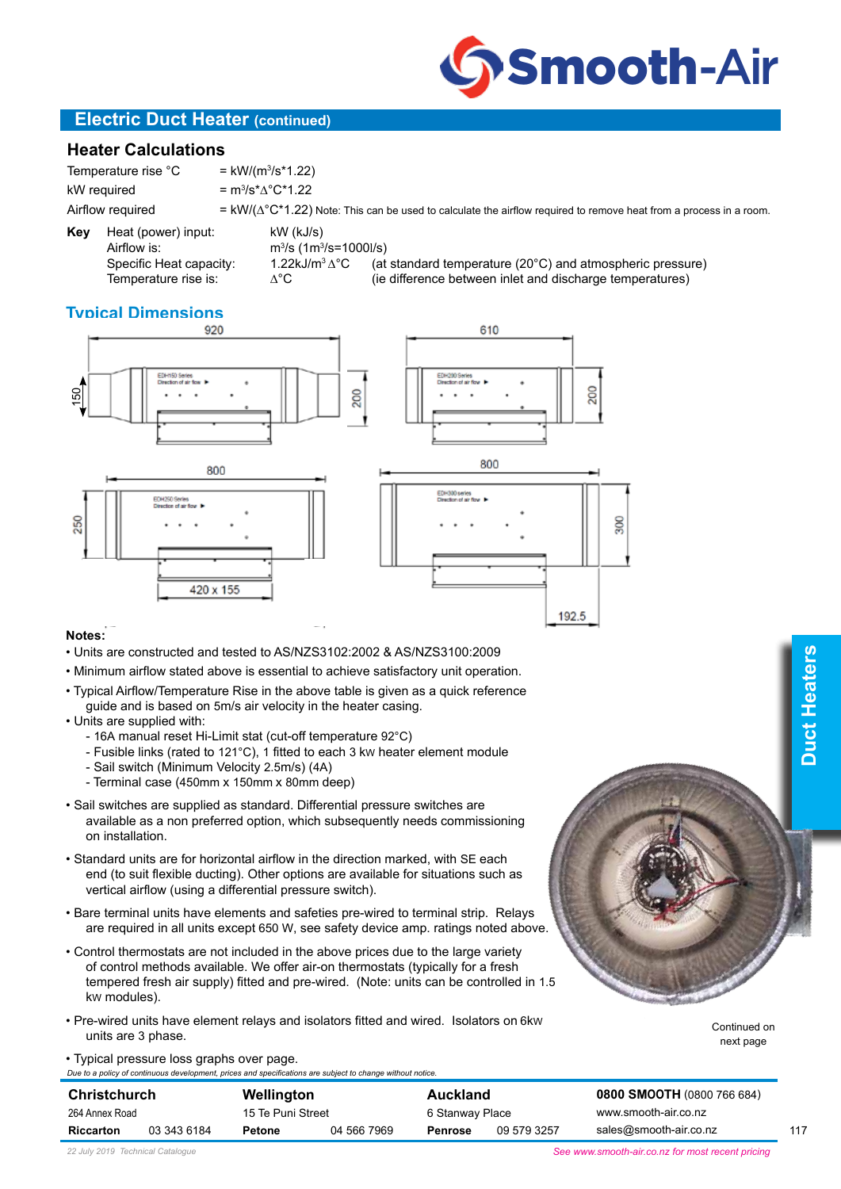

## **Electric Duct Heater (continued)**

### **Heater Calculations**

Temperature rise °C  $=$  kW/(m<sup>3</sup>/s\*1.22) kW required Airflow required  $= kW/(\Delta^{\circ}C^*1.22)$  Note: This can be used to calculate the airflow required to remove heat from a process in a room.

= m<sup>3</sup>/s<sup>\*</sup>∆°C\*1.22

**Key** Heat (power) input: kW (kJ/s) Airflow is:<br>Specific Heat capacity:

/s (1m3 /s=1000l/s) Specific Heat capacity:  $1.22kJ/m^3\Delta^\circ C$  (at standard temperature (20°C) and atmospheric pressure)<br>Temperature rise is:  $\Delta^\circ C$  (ie difference between inlet and discharge temperatures)  $\Delta$ °C (ie difference between inlet and discharge temperatures)

610

# **Typical Dimensions**









### **Notes:**

- Units are constructed and tested to AS/NZS3102:2002 & AS/NZS3100:2009
- Minimum airflow stated above is essential to achieve satisfactory unit operation.
- Typical Airflow/Temperature Rise in the above table is given as a quick reference guide and is based on 5m/s air velocity in the heater casing.

### • Units are supplied with:

- 16A manual reset Hi-Limit stat (cut-off temperature 92°C)
- Fusible links (rated to 121°C), 1 fitted to each 3 kW heater element module
- Sail switch (Minimum Velocity 2.5m/s) (4A)
- Terminal case (450mm x 150mm x 80mm deep)
- Sail switches are supplied as standard. Differential pressure switches are available as a non preferred option, which subsequently needs commissioning on installation.
- Standard units are for horizontal airflow in the direction marked, with SE each end (to suit flexible ducting). Other options are available for situations such as vertical airflow (using a differential pressure switch).
- Bare terminal units have elements and safeties pre-wired to terminal strip. Relays are required in all units except 650 W, see safety device amp. ratings noted above.
- Control thermostats are not included in the above prices due to the large variety of control methods available. We offer air-on thermostats (typically for a fresh tempered fresh air supply) fitted and pre-wired. (Note: units can be controlled in 1.5 kW modules).
- Pre-wired units have element relays and isolators fitted and wired. Isolators on 6kW units are 3 phase.

Continued on next page

117

• Typical pressure loss graphs over page.

*Due to a policy of continuous development, prices and specifications are subject to change without notice.*  **Christchurch** 264 Annex Road **Riccarton** 03 343 6184 **Wellington** 15 Te Puni Street **Petone** 04 566 7969 **Auckland** 6 Stanway Place **Penrose** 09 579 3257 **0800 SMOOTH** (0800 766 684) www.smooth-air.co.nz sales@smooth-air.co.nz

*See www.smooth-air.co.nz for most recent pricing*